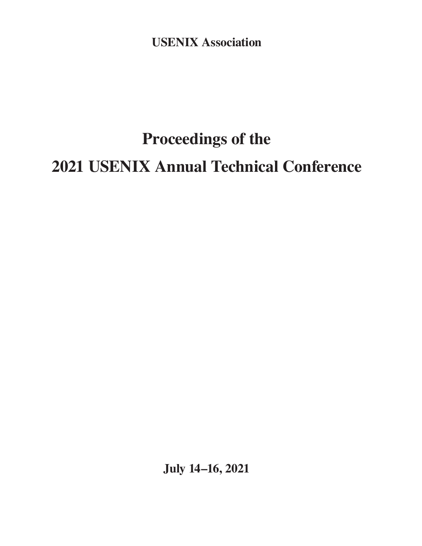**USENIX Association**

# **Proceedings of the 2021 USENIX Annual Technical Conference**

**July 14–16, 2021**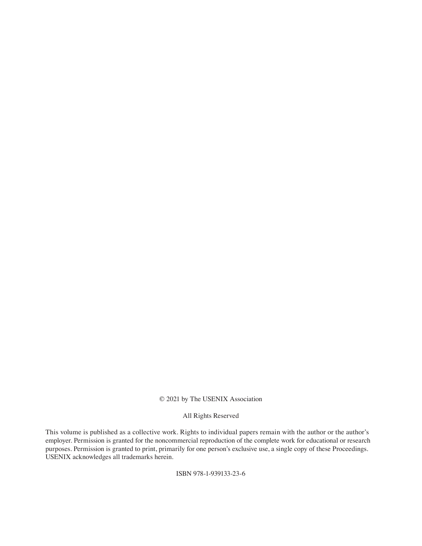#### © 2021 by The USENIX Association

#### All Rights Reserved

This volume is published as a collective work. Rights to individual papers remain with the author or the author's employer. Permission is granted for the noncommercial reproduction of the complete work for educational or research purposes. Permission is granted to print, primarily for one person's exclusive use, a single copy of these Proceedings. USENIX acknowledges all trademarks herein.

ISBN 978-1-939133-23-6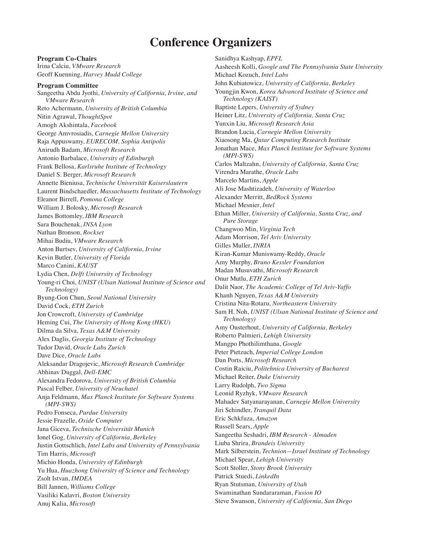## **Conference Organizers**

**Program Co-Chairs** Irina Calciu, *VMware Research* Geoff Kuenning, *Harvey Mudd College* **Program Committee** Sangeetha Abdu Jyothi, *University of California, Irvine, and VMware Research* Reto Achermann, *University of British Columbia* Nitin Agrawal, *ThoughtSpot* Amogh Akshintala, *Facebook* George Amvrosiadis, *Carnegie Mellon University* Raja Appuswamy, *EURECOM, Sophia Antipolis* Anirudh Badam, *Microsoft Research* Antonio Barbalace, *University of Edinburgh* Frank Bellosa, *Karlsruhe Institute of Technology* Daniel S. Berger, *Microsoft Research* Annette Bieniusa, *Technische Universität Kaiserslautern* Laurent Bindschaedler, *Massachusetts Institute of Technology* Eleanor Birrell, *Pomona College* William J. Bolosky, *Microsoft Research* James Bottomley, *IBM Research* Sara Bouchenak, *INSA Lyon* Nathan Bronson, *Rockset* Mihai Budiu, *VMware Research* Anton Burtsev, *University of California, Irvine* Kevin Butler, *University of Florida* Marco Canini, *KAUST* Lydia Chen, *Delft University of Technology* Young-ri Choi, *UNIST (Ulsan National Institute of Science and Technology)* Byung-Gon Chun, *Seoul National University* David Cock, *ETH Zurich* Jon Crowcroft, *University of Cambridge* Heming Cui, *The University of Hong Kong (HKU)* Dilma da Silva, *Texas A&M University* Alex Daglis, *Georgia Institute of Technology* Tudor David, *Oracle Labs Zurich* Dave Dice, *Oracle Labs* Aleksandar Dragojevic, *Microsoft Research Cambridge* Abhinav Duggal, *Dell-EMC* Alexandra Fedorova, *University of British Columbia* Pascal Felber, *University of Neuchatel* Anja Feldmann, *Max Planck Institute for Software Systems (MPI-SWS)* Pedro Fonseca, *Purdue University* Jessie Frazelle, *Oxide Computer* Jana Giceva, *Technische Universität Munich* Ionel Gog, *University of California, Berkeley* Justin Gottschlich, *Intel Labs and University of Pennsylvania* Tim Harris, *Microsoft* Michio Honda, *University of Edinburgh* Yu Hua, *Huazhong University of Science and Technology* Zsolt Istvan, *IMDEA* Bill Jannen, *Williams College* Vasiliki Kalavri, *Boston University* Anuj Kalia, *Microsoft*

Sanidhya Kashyap, *EPFL* Aasheesh Kolli, *Google and The Pennsylvania State University* Michael Kozuch, *Intel Labs* John Kubiatowicz, *University of California, Berkeley* Youngjin Kwon, *Korea Advanced Institute of Science and Technology (KAIST)* Baptiste Lepers, *University of Sydney* Heiner Litz, *University of California, Santa Cruz* Yunxin Liu, *Microsoft Research Asia* Brandon Lucia, *Carnegie Mellon University* Xiaosong Ma, *Qatar Computing Research Institute* Jonathan Mace, *Max Planck Institute for Software Systems (MPI-SWS)* Carlos Maltzahn, *University of California, Santa Cruz* Virendra Marathe, *Oracle Labs* Marcelo Martins, *Apple* Ali Jose Mashtizadeh, *University of Waterloo* Alexander Merritt, *BedRock Systems* Michael Mesnier, *Intel* Ethan Miller, *University of California, Santa Cruz, and Pure Storage* Changwoo Min, *Virginia Tech* Adam Morrison, *Tel Aviv University* Gilles Muller, *INRIA* Kiran-Kumar Muniswamy-Reddy, *Oracle* Amy Murphy, *Bruno Kessler Foundation* Madan Musuvathi, *Microsoft Research* Onur Mutlu, *ETH Zurich* Dalit Naor, *The Academic College of Tel Aviv-Yaffo* Khanh Nguyen, *Texas A&M University* Cristina Nita-Rotaru, *Northeastern University* Sam H. Noh, *UNIST (Ulsan National Institute of Science and Technology)* Amy Ousterhout, *University of California, Berkeley* Roberto Palmieri, *Lehigh University* Mangpo Phothilimthana, *Google* Peter Pietzuch, *Imperial College London* Dan Ports, *Microsoft Research* Costin Raiciu, *Politehnica University of Bucharest* Michael Reiter, *Duke University* Larry Rudolph, *Two Sigma* Leonid Ryzhyk, *VMware Research* Mahadev Satyanarayanan, *Carnegie Mellon University* Jiri Schindler, *Tranquil Data* Eric Schkfuza, *Amazon* Russell Sears, *Apple* Sangeetha Seshadri, *IBM Research - Almaden* Liuba Shrira, *Brandeis University* Mark Silberstein, *Technion—Israel Institute of Technology* Michael Spear, *Lehigh University* Scott Stoller, *Stony Brook University* Patrick Stuedi, *LinkedIn* Ryan Stutsman, *University of Utah* Swaminathan Sundararaman, *Fusion IO* Steve Swanson, *University of California, San Diego*